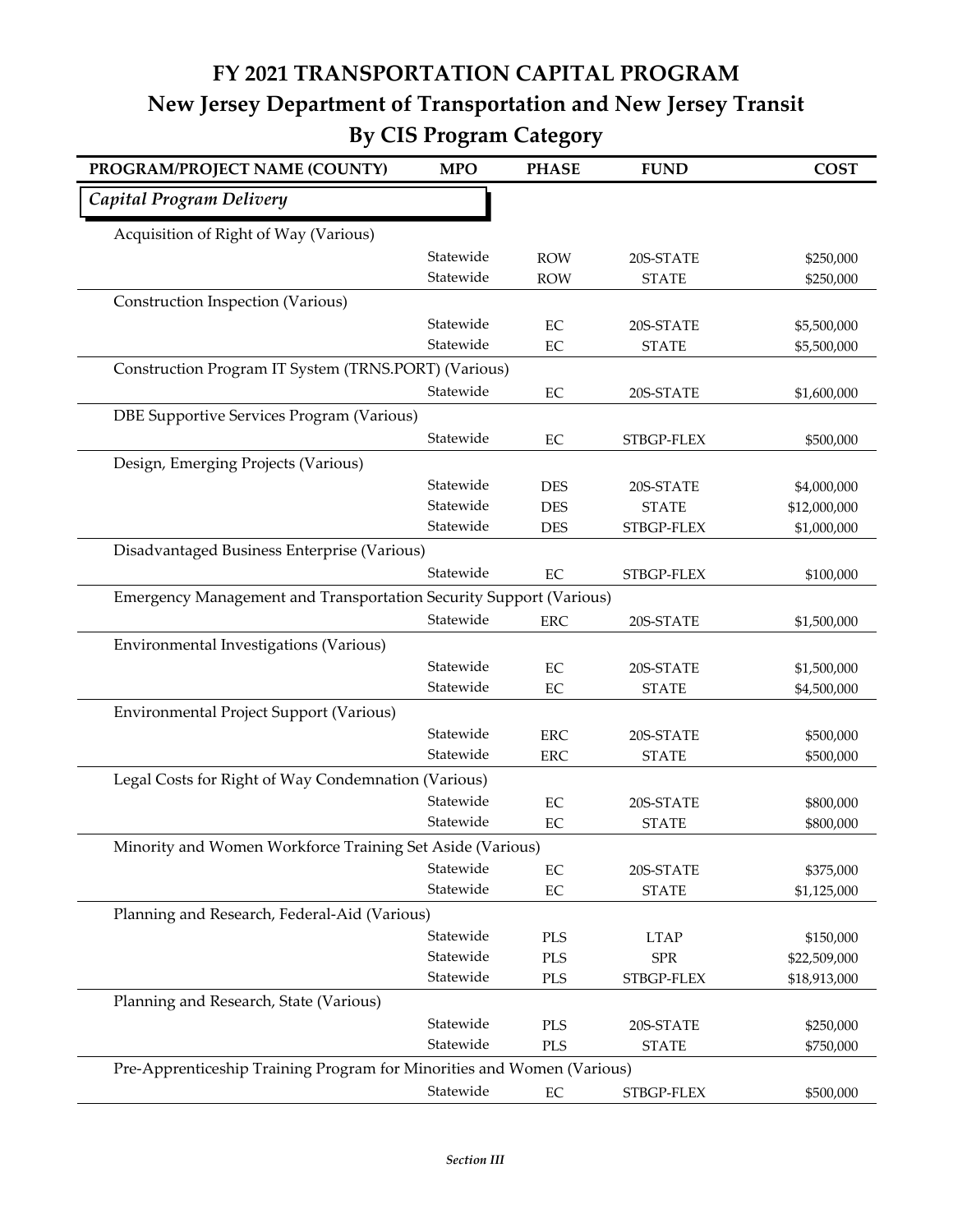## **FY 2021 TRANSPORTATION CAPITAL PROGRAM New Jersey Department of Transportation and New Jersey Transit By CIS Program Category**

| PROGRAM/PROJECT NAME (COUNTY)                                          | <b>MPO</b> | <b>PHASE</b> | <b>FUND</b>  | <b>COST</b>  |
|------------------------------------------------------------------------|------------|--------------|--------------|--------------|
| Capital Program Delivery                                               |            |              |              |              |
| Acquisition of Right of Way (Various)                                  |            |              |              |              |
|                                                                        | Statewide  | <b>ROW</b>   | 20S-STATE    | \$250,000    |
|                                                                        | Statewide  | <b>ROW</b>   | <b>STATE</b> | \$250,000    |
| Construction Inspection (Various)                                      |            |              |              |              |
|                                                                        | Statewide  | $\rm EC$     | 20S-STATE    | \$5,500,000  |
|                                                                        | Statewide  | EC           | <b>STATE</b> | \$5,500,000  |
| Construction Program IT System (TRNS.PORT) (Various)                   |            |              |              |              |
|                                                                        | Statewide  | $\rm EC$     | 20S-STATE    | \$1,600,000  |
| DBE Supportive Services Program (Various)                              |            |              |              |              |
|                                                                        | Statewide  | EC           | STBGP-FLEX   | \$500,000    |
| Design, Emerging Projects (Various)                                    |            |              |              |              |
|                                                                        | Statewide  | <b>DES</b>   | 20S-STATE    | \$4,000,000  |
|                                                                        | Statewide  | <b>DES</b>   | <b>STATE</b> | \$12,000,000 |
|                                                                        | Statewide  | <b>DES</b>   | STBGP-FLEX   | \$1,000,000  |
| Disadvantaged Business Enterprise (Various)                            |            |              |              |              |
|                                                                        | Statewide  | EC           | STBGP-FLEX   | \$100,000    |
| Emergency Management and Transportation Security Support (Various)     |            |              |              |              |
|                                                                        | Statewide  | ERC          | 20S-STATE    | \$1,500,000  |
| Environmental Investigations (Various)                                 |            |              |              |              |
|                                                                        | Statewide  | EC           | 20S-STATE    | \$1,500,000  |
|                                                                        | Statewide  | $\rm EC$     | <b>STATE</b> | \$4,500,000  |
| Environmental Project Support (Various)                                |            |              |              |              |
|                                                                        | Statewide  | ${\rm ERC}$  | 20S-STATE    | \$500,000    |
|                                                                        | Statewide  | <b>ERC</b>   | <b>STATE</b> | \$500,000    |
| Legal Costs for Right of Way Condemnation (Various)                    |            |              |              |              |
|                                                                        | Statewide  | $\rm EC$     | 20S-STATE    | \$800,000    |
|                                                                        | Statewide  | EC           | <b>STATE</b> | \$800,000    |
| Minority and Women Workforce Training Set Aside (Various)              |            |              |              |              |
|                                                                        | Statewide  | $\rm EC$     | 20S-STATE    | \$375,000    |
|                                                                        | Statewide  | $\rm EC$     | <b>STATE</b> | \$1,125,000  |
| Planning and Research, Federal-Aid (Various)                           |            |              |              |              |
|                                                                        | Statewide  | PLS          | <b>LTAP</b>  | \$150,000    |
|                                                                        | Statewide  | PLS          | ${\rm SPR}$  | \$22,509,000 |
|                                                                        | Statewide  | $\rm PLS$    | STBGP-FLEX   | \$18,913,000 |
| Planning and Research, State (Various)                                 |            |              |              |              |
|                                                                        | Statewide  | PLS          | 20S-STATE    | \$250,000    |
|                                                                        | Statewide  | PLS          | <b>STATE</b> | \$750,000    |
| Pre-Apprenticeship Training Program for Minorities and Women (Various) |            |              |              |              |
|                                                                        | Statewide  | $\rm EC$     | STBGP-FLEX   | \$500,000    |